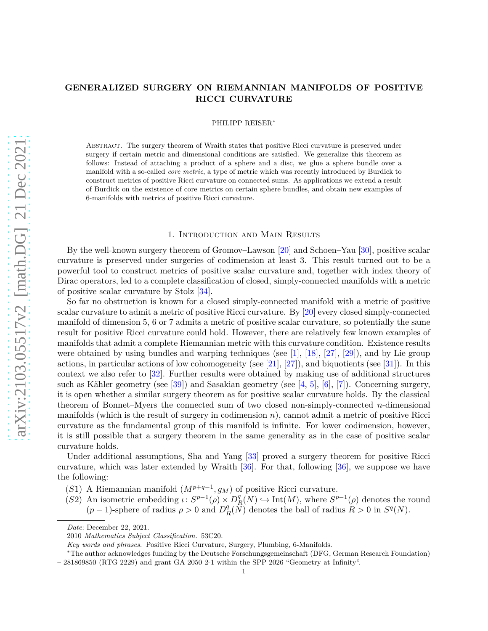# **GENERALIZED SURGERY ON RIEMANNIAN MANIFOLDS OF POSITIVE RICCI CURVATURE**

PHILIPP REISER<sup>∗</sup>

Abstract. The surgery theorem of Wraith states that positive Ricci curvature is preserved under surgery if certain metric and dimensional conditions are satisfied. We generalize this theorem as follows: Instead of attaching a product of a sphere and a disc, we glue a sphere bundle over a manifold with a so-called *core metric*, a type of metric which was recently introduced by Burdick to construct metrics of positive Ricci curvature on connected sums. As applications we extend a result of Burdick on the existence of core metrics on certain sphere bundles, and obtain new examples of 6-manifolds with metrics of positive Ricci curvature.

### 1. Introduction and Main Results

By the well-known surgery theorem of Gromov–Lawson [\[20\]](#page-17-0) and Schoen–Yau [\[30\]](#page-17-1), positive scalar curvature is preserved under surgeries of codimension at least 3. This result turned out to be a powerful tool to construct metrics of positive scalar curvature and, together with index theory of Dirac operators, led to a complete classification of closed, simply-connected manifolds with a metric of positive scalar curvature by Stolz [\[34\]](#page-17-2).

So far no obstruction is known for a closed simply-connected manifold with a metric of positive scalar curvature to admit a metric of positive Ricci curvature. By [\[20\]](#page-17-0) every closed simply-connected manifold of dimension 5, 6 or 7 admits a metric of positive scalar curvature, so potentially the same result for positive Ricci curvature could hold. However, there are relatively few known examples of manifolds that admit a complete Riemannian metric with this curvature condition. Existence results were obtained by using bundles and warping techniques (see [\[1\]](#page-16-0), [\[18\]](#page-16-1), [\[27\]](#page-17-3), [\[29\]](#page-17-4)), and by Lie group actions, in particular actions of low cohomogeneity (see [\[21\]](#page-17-5), [\[27\]](#page-17-3)), and biquotients (see [\[31\]](#page-17-6)). In this context we also refer to [\[32\]](#page-17-7). Further results were obtained by making use of additional structures such as Kähler geometry (see [\[39\]](#page-17-8)) and Sasakian geometry (see [\[4,](#page-16-2) [5\]](#page-16-3), [\[6\]](#page-16-4), [\[7\]](#page-16-5)). Concerning surgery, it is open whether a similar surgery theorem as for positive scalar curvature holds. By the classical theorem of Bonnet–Myers the connected sum of two closed non-simply-connected *n*-dimensional manifolds (which is the result of surgery in codimension *n*), cannot admit a metric of positive Ricci curvature as the fundamental group of this manifold is infinite. For lower codimension, however, it is still possible that a surgery theorem in the same generality as in the case of positive scalar curvature holds.

Under additional assumptions, Sha and Yang [\[33\]](#page-17-9) proved a surgery theorem for positive Ricci curvature, which was later extended by Wraith [\[36\]](#page-17-10). For that, following [\[36\]](#page-17-10), we suppose we have the following:

- (*S*1) A Riemannian manifold  $(M^{p+q-1}, g_M)$  of positive Ricci curvature.
- (*S*2) An isometric embedding  $\iota: S^{p-1}(\rho) \times D^q$  $R_R^q(N) \hookrightarrow \text{Int}(M)$ , where  $S^{p-1}(\rho)$  denotes the round  $(p-1)$ -sphere of radius  $\rho > 0$  and  $D_f^q$  $R_R^q(N)$  denotes the ball of radius  $R > 0$  in  $S^q(N)$ .

*Date*: December 22, 2021.

<sup>2010</sup> *Mathematics Subject Classification.* 53C20.

*Key words and phrases.* Positive Ricci Curvature, Surgery, Plumbing, 6-Manifolds.

<sup>∗</sup>The author acknowledges funding by the Deutsche Forschungsgemeinschaft (DFG, German Research Foundation) – 281869850 (RTG 2229) and grant GA 2050 2-1 within the SPP 2026 "Geometry at Infinity".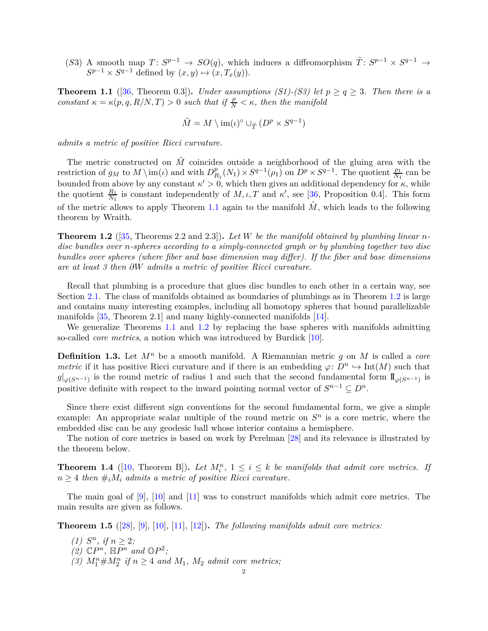(*S*3) A smooth map  $T: S^{p-1} \to SO(q)$ , which induces a diffeomorphism  $\tilde{T}: S^{p-1} \times S^{q-1} \to$  $S^{p-1} \times S^{q-1}$  defined by  $(x, y) \mapsto (x, T_x(y)).$ 

<span id="page-1-0"></span>**Theorem 1.1** ([\[36,](#page-17-10) Theorem 0.3]). *Under assumptions (S1)-(S3) let*  $p \geq q \geq 3$ *. Then there is a constant*  $\kappa = \kappa(p, q, R/N, T) > 0$  *such that if*  $\frac{\rho}{N} < \kappa$ *, then the manifold* 

$$
\hat{M} = M \setminus \operatorname{im}(\iota)^{\circ} \cup_{\tilde{T}} (D^p \times S^{q-1})
$$

*admits a metric of positive Ricci curvature.*

The metric constructed on  $\hat{M}$  coincides outside a neighborhood of the gluing area with the restriction of  $g_M$  to  $M \setminus \text{im}(\iota)$  and with  $D_R^p$  $R_1(R_1) \times S^{q-1}(\rho_1)$  on  $D^p \times S^{q-1}$ . The quotient  $\frac{\rho_1}{N_1}$  can be bounded from above by any constant  $\kappa' > 0$ , which then gives an additional dependency for  $\kappa$ , while the quotient  $\frac{R_1}{N_1}$  is constant independently of  $M, \iota, T$  and  $\kappa'$ , see [\[36,](#page-17-10) Proposition 0.4]. This form of the metric allows to apply Theorem [1.1](#page-1-0) again to the manifold  $\hat{M}$ , which leads to the following theorem by Wraith.

<span id="page-1-1"></span>**Theorem 1.2** ([\[35,](#page-17-11) Theorems 2.2 and 2.3])**.** *Let W be the manifold obtained by plumbing linear ndisc bundles over n-spheres according to a simply-connected graph or by plumbing together two disc bundles over spheres (where fiber and base dimension may differ). If the fiber and base dimensions are at least 3 then ∂W admits a metric of positive Ricci curvature.*

Recall that plumbing is a procedure that glues disc bundles to each other in a certain way, see Section [2.1.](#page-3-0) The class of manifolds obtained as boundaries of plumbings as in Theorem [1.2](#page-1-1) is large and contains many interesting examples, including all homotopy spheres that bound parallelizable manifolds [\[35,](#page-17-11) Theorem 2.1] and many highly-connected manifolds [\[14\]](#page-16-6).

We generalize Theorems [1.1](#page-1-0) and [1.2](#page-1-1) by replacing the base spheres with manifolds admitting so-called *core metrics*, a notion which was introduced by Burdick [\[10\]](#page-16-7).

**Definition 1.3.** Let *M<sup>n</sup>* be a smooth manifold. A Riemannian metric *g* on *M* is called a *core metric* if it has positive Ricci curvature and if there is an embedding  $\varphi: D^n \hookrightarrow \text{Int}(M)$  such that  $g|_{\varphi(S^{n-1})}$  is the round metric of radius 1 and such that the second fundamental form  $\mathbb{I}_{\varphi(S^{n-1})}$  is positive definite with respect to the inward pointing normal vector of  $S^{n-1} \subseteq D^n$ .

Since there exist different sign conventions for the second fundamental form, we give a simple example: An appropriate scalar multiple of the round metric on  $S<sup>n</sup>$  is a core metric, where the embedded disc can be any geodesic ball whose interior contains a hemisphere.

The notion of core metrics is based on work by Perelman [\[28\]](#page-17-12) and its relevance is illustrated by the theorem below.

**Theorem 1.4** ([\[10,](#page-16-7) Theorem B]). Let  $M_i^n$ ,  $1 \leq i \leq k$  be manifolds that admit core metrics. If  $n \geq 4$  *then*  $\#_i M_i$  *admits a metric of positive Ricci curvature.* 

The main goal of [\[9\]](#page-16-8), [\[10\]](#page-16-7) and [\[11\]](#page-16-9) was to construct manifolds which admit core metrics. The main results are given as follows.

<span id="page-1-2"></span>**Theorem 1.5** ([\[28\]](#page-17-12), [\[9\]](#page-16-8), [\[10\]](#page-16-7), [\[11\]](#page-16-9), [\[12\]](#page-16-10))**.** *The following manifolds admit core metrics:*

- *(1)*  $S^n$ *, if*  $n \geq 2$ *;*
- $(2)$   $\mathbb{C}P^n$ ,  $\mathbb{H}P^n$  and  $\mathbb{O}P^2$ ;
- (3)  $M_1^n \# M_2^n$  if  $n \geq 4$  and  $M_1$ ,  $M_2$  admit core metrics;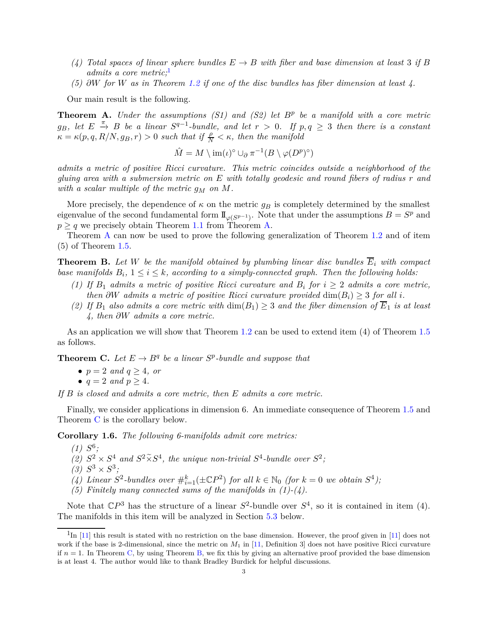- *(4)* Total spaces of linear sphere bundles  $E \rightarrow B$  with fiber and base dimension at least 3 if B *admits a core metric;*[1](#page-2-0)
- *(5) ∂W for W as in Theorem [1.2](#page-1-1) if one of the disc bundles has fiber dimension at least 4.*

Our main result is the following.

<span id="page-2-1"></span>**Theorem A.** *Under the assumptions (S1) and (S2) let B<sup>p</sup> be a manifold with a core metric*  $g_B$ , let  $E \stackrel{\pi}{\rightarrow} B$  be a linear  $S^{q-1}$ -bundle, and let  $r > 0$ . If  $p, q ≥ 3$  then there is a constant  $\kappa = \kappa(p, q, R/N, g_B, r) > 0$  *such that if*  $\frac{\rho}{N} < \kappa$ *, then the manifold* 

$$
\hat{M} = M \setminus \mathrm{im}(\iota)^{\circ} \cup_{\partial} \pi^{-1}(B \setminus \varphi(D^p)^{\circ})
$$

*admits a metric of positive Ricci curvature. This metric coincides outside a neighborhood of the gluing area with a submersion metric on E with totally geodesic and round fibers of radius r and with a scalar multiple of the metric*  $q_M$  *on M.* 

More precisely, the dependence of  $\kappa$  on the metric  $g_B$  is completely determined by the smallest eigenvalue of the second fundamental form  $\mathbb{I}_{\varphi(S^{p-1})}$ . Note that under the assumptions  $B = S^p$  and  $p \geq q$  we precisely obtain Theorem [1.1](#page-1-0) from Theorem [A.](#page-2-1)

Theorem [A](#page-2-1) can now be used to prove the following generalization of Theorem [1.2](#page-1-1) and of item (5) of Theorem [1.5.](#page-1-2)

<span id="page-2-3"></span>**Theorem B.** Let *W* be the manifold obtained by plumbing linear disc bundles  $\overline{E}_i$  with compact *base manifolds*  $B_i$ ,  $1 \leq i \leq k$ , according to a simply-connected graph. Then the following holds:

- *(1) If*  $B_1$  *admits a metric of positive Ricci curvature and*  $B_i$  *for*  $i \geq 2$  *admits a core metric, then*  $\partial W$  *admits a metric of positive Ricci curvature provided* dim $(B_i) \geq 3$  *for all i*.
- *(2)* If  $B_1$  also admits a core metric with  $\dim(B_1) \geq 3$  and the fiber dimension of  $\overline{E}_1$  is at least *4, then ∂W admits a core metric.*

As an application we will show that Theorem [1.2](#page-1-1) can be used to extend item (4) of Theorem [1.5](#page-1-2) as follows.

<span id="page-2-2"></span>**Theorem C.** Let  $E \to B^q$  be a linear  $S^p$ -bundle and suppose that

- $p = 2$  *and*  $q > 4$ *, or*
- $q = 2$  *and*  $p \geq 4$ *.*

*If B is closed and admits a core metric, then E admits a core metric.*

Finally, we consider applications in dimension 6. An immediate consequence of Theorem [1.5](#page-1-2) and Theorem [C](#page-2-2) is the corollary below.

<span id="page-2-4"></span>**Corollary 1.6.** *The following 6-manifolds admit core metrics:*

- $(1)$   $S^6$ ;
- (2)  $S^2 \times S^4$  and  $S^2 \times S^4$ , the unique non-trivial  $S^4$ -bundle over  $S^2$ ;
- $(3)$   $S^3 \times S^3$ ;
- (4) Linear  $S^2$ -bundles over  $\#_{i=1}^k(\pm \mathbb{C}P^2)$  for all  $k \in \mathbb{N}_0$  (for  $k=0$  we obtain  $S^4$ );
- *(5) Finitely many connected sums of the manifolds in (1)-(4).*

Note that  $\mathbb{C}P^3$  has the structure of a linear  $S^2$ -bundle over  $S^4$ , so it is contained in item (4). The manifolds in this item will be analyzed in Section [5.3](#page-13-0) below.

<span id="page-2-0"></span> $1_{\text{In}}$  [\[11\]](#page-16-9) this result is stated with no restriction on the base dimension. However, the proof given in [11] does not work if the base is 2-dimensional, since the metric on  $M_1$  in [\[11,](#page-16-9) Definition 3] does not have positive Ricci curvature if  $n = 1$ . In Theorem [C,](#page-2-2) by using Theorem [B,](#page-2-3) we fix this by giving an alternative proof provided the base dimension is at least 4. The author would like to thank Bradley Burdick for helpful discussions.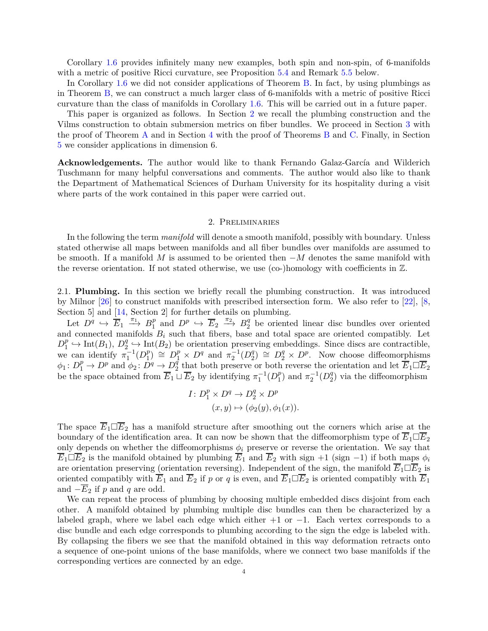Corollary [1.6](#page-2-4) provides infinitely many new examples, both spin and non-spin, of 6-manifolds with a metric of positive Ricci curvature, see Proposition [5.4](#page-13-1) and Remark [5.5](#page-13-2) below.

In Corollary [1.6](#page-2-4) we did not consider applications of Theorem [B.](#page-2-3) In fact, by using plumbings as in Theorem [B,](#page-2-3) we can construct a much larger class of 6-manifolds with a metric of positive Ricci curvature than the class of manifolds in Corollary [1.6.](#page-2-4) This will be carried out in a future paper.

This paper is organized as follows. In Section [2](#page-3-1) we recall the plumbing construction and the Vilms construction to obtain submersion metrics on fiber bundles. We proceed in Section [3](#page-4-0) with the proof of Theorem [A](#page-2-1) and in Section [4](#page-10-0) with the proof of Theorems [B](#page-2-3) and [C.](#page-2-2) Finally, in Section [5](#page-11-0) we consider applications in dimension 6.

**Acknowledgements.** The author would like to thank Fernando Galaz-García and Wilderich Tuschmann for many helpful conversations and comments. The author would also like to thank the Department of Mathematical Sciences of Durham University for its hospitality during a visit where parts of the work contained in this paper were carried out.

#### 2. Preliminaries

<span id="page-3-1"></span>In the following the term *manifold* will denote a smooth manifold, possibly with boundary. Unless stated otherwise all maps between manifolds and all fiber bundles over manifolds are assumed to be smooth. If a manifold *M* is assumed to be oriented then −*M* denotes the same manifold with the reverse orientation. If not stated otherwise, we use (co-)homology with coefficients in Z.

<span id="page-3-0"></span>2.1. **Plumbing.** In this section we briefly recall the plumbing construction. It was introduced by Milnor [\[26\]](#page-17-13) to construct manifolds with prescribed intersection form. We also refer to [\[22\]](#page-17-14), [\[8,](#page-16-11) Section 5 and  $[14, Section 2]$  for further details on plumbing.

Let  $D^q \hookrightarrow \overline{E}_1 \xrightarrow{\pi_1} B_1^p$  $\frac{p}{1}$  and  $D^p \hookrightarrow \overline{E}_2 \stackrel{\pi_2}{\longrightarrow} B_2^q$  be oriented linear disc bundles over oriented and connected manifolds  $B_i$  such that fibers, base and total space are oriented compatibly. Let  $D_1^p$  $j_1^p \hookrightarrow \text{Int}(B_1), D_2^q$  $\frac{q}{2} \hookrightarrow \text{Int}(B_2)$  be orientation preserving embeddings. Since discs are contractible, we can identify  $\pi_1^{-1}(D_1^p)$  $\binom{p}{1} \cong D_1^p \times D^q$  and  $\pi_2^{-1}(D_2^q)$  $\mathcal{L}_2^q$   $\cong$   $D_2^q \times D^p$ . Now choose diffeomorphisms  $\phi_1: D_1^p \to D^p$  and  $\phi_2: D^q \to D_2^q$  $\frac{q}{2}$  that both preserve or both reverse the orientation and let  $\overline{E}_1 \Box \overline{E}_2$ be the space obtained from  $\overline{E}_1 \sqcup \overline{E}_2$  by identifying  $\pi_1^{-1}(D_1^p)$  $\binom{p}{1}$  and  $\pi_2^{-1}(D_2^q)$  $2<sup>q</sup>$ ) via the diffeomorphism

$$
I: D_1^p \times D^q \to D_2^q \times D^p
$$
  

$$
(x, y) \mapsto (\phi_2(y), \phi_1(x)).
$$

The space  $\overline{E}_1 \square \overline{E}_2$  has a manifold structure after smoothing out the corners which arise at the boundary of the identification area. It can now be shown that the diffeomorphism type of  $E_1 \Box E_2$ only depends on whether the diffeomorphisms  $\phi_i$  preserve or reverse the orientation. We say that  $\overline{E}_1 \square \overline{E}_2$  is the manifold obtained by plumbing  $\overline{E}_1$  and  $\overline{E}_2$  with sign +1 (sign −1) if both maps  $\phi_i$ are orientation preserving (orientation reversing). Independent of the sign, the manifold  $\overline{E}_1 \Box \overline{E}_2$  is oriented compatibly with  $\overline{E}_1$  and  $\overline{E}_2$  if *p* or *q* is even, and  $\overline{E}_1 \square \overline{E}_2$  is oriented compatibly with  $\overline{E}_1$ and  $-E_2$  if *p* and *q* are odd.

We can repeat the process of plumbing by choosing multiple embedded discs disjoint from each other. A manifold obtained by plumbing multiple disc bundles can then be characterized by a labeled graph, where we label each edge which either  $+1$  or  $-1$ . Each vertex corresponds to a disc bundle and each edge corresponds to plumbing according to the sign the edge is labeled with. By collapsing the fibers we see that the manifold obtained in this way deformation retracts onto a sequence of one-point unions of the base manifolds, where we connect two base manifolds if the corresponding vertices are connected by an edge.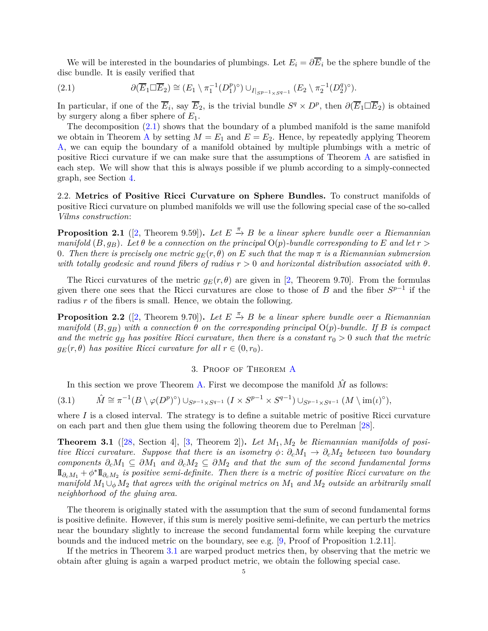We will be interested in the boundaries of plumbings. Let  $E_i = \partial \overline{E}_i$  be the sphere bundle of the disc bundle. It is easily verified that

<span id="page-4-1"></span>(2.1) 
$$
\partial(\overline{E}_1 \square \overline{E}_2) \cong (E_1 \setminus \pi_1^{-1}(D_1^p)^{\circ}) \cup_{I|_{SP^{-1} \times S^{q-1}}} (E_2 \setminus \pi_2^{-1}(D_2^q)^{\circ}).
$$

In particular, if one of the  $\overline{E}_i$ , say  $\overline{E}_2$ , is the trivial bundle  $S^q \times D^p$ , then  $\partial(\overline{E}_1 \Box \overline{E}_2)$  is obtained by surgery along a fiber sphere of *E*1.

The decomposition [\(2.1\)](#page-4-1) shows that the boundary of a plumbed manifold is the same manifold we obtain in Theorem [A](#page-2-1) by setting  $M = E_1$  and  $E = E_2$ . Hence, by repeatedly applying Theorem [A,](#page-2-1) we can equip the boundary of a manifold obtained by multiple plumbings with a metric of positive Ricci curvature if we can make sure that the assumptions of Theorem [A](#page-2-1) are satisfied in each step. We will show that this is always possible if we plumb according to a simply-connected graph, see Section [4.](#page-10-0)

2.2. **Metrics of Positive Ricci Curvature on Sphere Bundles.** To construct manifolds of positive Ricci curvature on plumbed manifolds we will use the following special case of the so-called *Vilms construction*:

<span id="page-4-3"></span>**Proposition 2.1** ([\[2,](#page-16-12) Theorem 9.59]). Let  $E \stackrel{\pi}{\rightarrow} B$  be a linear sphere bundle over a Riemannian *manifold*  $(B, q_B)$ *. Let*  $\theta$  *be a connection on the principal*  $O(p)$ *-bundle corresponding to*  $E$  *and let*  $r >$ 0. Then there is precisely one metric  $g_E(r, \theta)$  on E such that the map  $\pi$  is a Riemannian submersion *with totally geodesic and round fibers of radius*  $r > 0$  *and horizontal distribution associated with*  $\theta$ *.* 

The Ricci curvatures of the metric  $g_E(r, \theta)$  are given in [\[2,](#page-16-12) Theorem 9.70]. From the formulas given there one sees that the Ricci curvatures are close to those of *B* and the fiber  $S^{p-1}$  if the radius r of the fibers is small. Hence, we obtain the following.

<span id="page-4-5"></span>**Proposition 2.2** ([\[2,](#page-16-12) Theorem 9.70]). Let  $E \stackrel{\pi}{\to} B$  be a linear sphere bundle over a Riemannian *manifold*  $(B, g_B)$  *with a connection*  $\theta$  *on the corresponding principal*  $O(p)$ *-bundle. If*  $B$  *is compact and the metric*  $g_B$  *has positive Ricci curvature, then there is a constant*  $r_0 > 0$  *such that the metric*  $g_E(r, \theta)$  *has positive Ricci curvature for all*  $r \in (0, r_0)$ *.* 

## 3. Proof of Theorem [A](#page-2-1)

<span id="page-4-4"></span><span id="page-4-0"></span>In this section we prove Theorem [A.](#page-2-1) First we decompose the manifold  $\hat{M}$  as follows:

$$
(3.1) \qquad \hat{M} \cong \pi^{-1}(B \setminus \varphi(D^p)^{\circ}) \cup_{S^{p-1} \times S^{q-1}} (I \times S^{p-1} \times S^{q-1}) \cup_{S^{p-1} \times S^{q-1}} (M \setminus \text{im}(\iota)^{\circ}),
$$

where *I* is a closed interval. The strategy is to define a suitable metric of positive Ricci curvature on each part and then glue them using the following theorem due to Perelman [\[28\]](#page-17-12).

<span id="page-4-2"></span>**Theorem 3.1** ([\[28,](#page-17-12) Section 4], [\[3,](#page-16-13) Theorem 2])**.** *Let M*1*, M*<sup>2</sup> *be Riemannian manifolds of positive Ricci curvature. Suppose that there is an isometry*  $\phi: \partial_c M_1 \to \partial_c M_2$  *between two boundary components*  $\partial_c M_1 \subseteq \partial M_1$  *and*  $\partial_c M_2 \subseteq \partial M_2$  *and that the sum of the second fundamental forms*  $\mathbb{I}_{\partial_c M_1} + \phi^* \mathbb{I}_{\partial_c M_2}$  is positive semi-definite. Then there is a metric of positive Ricci curvature on the *manifold*  $M_1 \cup_{\phi} M_2$  *that agrees with the original metrics on*  $M_1$  *and*  $M_2$  *outside an arbitrarily small neighborhood of the gluing area.*

The theorem is originally stated with the assumption that the sum of second fundamental forms is positive definite. However, if this sum is merely positive semi-definite, we can perturb the metrics near the boundary slightly to increase the second fundamental form while keeping the curvature bounds and the induced metric on the boundary, see e.g. [\[9,](#page-16-8) Proof of Proposition 1.2.11].

If the metrics in Theorem [3.1](#page-4-2) are warped product metrics then, by observing that the metric we obtain after gluing is again a warped product metric, we obtain the following special case.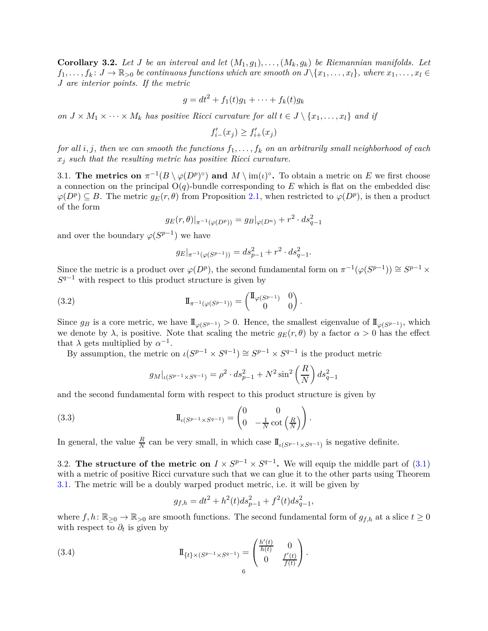<span id="page-5-3"></span>**Corollary 3.2.** Let *J* be an interval and let  $(M_1, g_1), \ldots, (M_k, g_k)$  be Riemannian manifolds. Let  $f_1, \ldots, f_k: J \to \mathbb{R}_{>0}$  *be continuous functions which are smooth on*  $J \setminus \{x_1, \ldots, x_l\}$ *, where*  $x_1, \ldots, x_l \in$ *J are interior points. If the metric*

$$
g = dt2 + f1(t)g1 + \cdots + fk(t)gk
$$

*on*  $J \times M_1 \times \cdots \times M_k$  *has positive Ricci curvature for all*  $t \in J \setminus \{x_1, \ldots, x_l\}$  *and if* 

 $f'_{i-}(x_j) \geq f'_{i+}(x_j)$ 

*for all i, j, then we can smooth the functions*  $f_1, \ldots, f_k$  *on an arbitrarily small neighborhood of each x<sup>j</sup> such that the resulting metric has positive Ricci curvature.*

3.1. **The metrics on**  $\pi^{-1}(B \setminus \varphi(D^p)^{\circ})$  and  $M \setminus \text{im}(\iota)^{\circ}$ . To obtain a metric on *E* we first choose a connection on the principal  $O(q)$ -bundle corresponding to E which is flat on the embedded disc  $\varphi(D^p) \subseteq B$ . The metric  $g_E(r, \theta)$  from Proposition [2.1,](#page-4-3) when restricted to  $\varphi(D^p)$ , is then a product of the form

$$
g_E(r, \theta)|_{\pi^{-1}(\varphi(D^p))} = g_B|_{\varphi(D^n)} + r^2 \cdot ds_{q-1}^2
$$

and over the boundary  $\varphi(S^{p-1})$  we have

<span id="page-5-0"></span>
$$
g_E|_{\pi^{-1}(\varphi(S^{p-1}))} = ds_{p-1}^2 + r^2 \cdot ds_{q-1}^2.
$$

Since the metric is a product over  $\varphi(D^p)$ , the second fundamental form on  $\pi^{-1}(\varphi(S^{p-1})) \cong S^{p-1} \times$ *S <sup>q</sup>*−<sup>1</sup> with respect to this product structure is given by

*.*

(3.2) 
$$
\mathbb{I}_{\pi^{-1}(\varphi(S^{p-1}))} = \begin{pmatrix} \mathbb{I}_{\varphi(S^{p-1})} & 0 \\ 0 & 0 \end{pmatrix}
$$

Since  $g_B$  is a core metric, we have  $\mathbb{I}_{\varphi(S^{p-1})} > 0$ . Hence, the smallest eigenvalue of  $\mathbb{I}_{\varphi(S^{p-1})}$ , which we denote by  $\lambda$ , is positive. Note that scaling the metric  $g_E(r, \theta)$  by a factor  $\alpha > 0$  has the effect that  $\lambda$  gets multiplied by  $\alpha^{-1}$ .

By assumption, the metric on  $\iota(S^{p-1} \times S^{q-1}) \cong S^{p-1} \times S^{q-1}$  is the product metric

<span id="page-5-2"></span>
$$
g_M|_{\iota(S^{p-1}\times S^{q-1})} = \rho^2 \cdot ds_{p-1}^2 + N^2 \sin^2\left(\frac{R}{N}\right) ds_{q-1}^2
$$

and the second fundamental form with respect to this product structure is given by

(3.3) 
$$
\mathbb{I}_{\iota(S^{p-1}\times S^{q-1})} = \begin{pmatrix} 0 & 0 \\ 0 & -\frac{1}{N}\cot\left(\frac{R}{N}\right) \end{pmatrix}.
$$

In general, the value  $\frac{R}{N}$  can be very small, in which case  $\mathbb{I}_{\iota(S^{p-1}\times S^{q-1})}$  is negative definite.

3.2. The structure of the metric on  $I \times S^{p-1} \times S^{q-1}$ . We will equip the middle part of [\(3.1\)](#page-4-4) with a metric of positive Ricci curvature such that we can glue it to the other parts using Theorem [3.1.](#page-4-2) The metric will be a doubly warped product metric, i.e. it will be given by

<span id="page-5-1"></span>
$$
g_{f,h} = dt^2 + h^2(t)ds_{p-1}^2 + f^2(t)ds_{q-1}^2,
$$

where  $f, h: \mathbb{R}_{\geq 0} \to \mathbb{R}_{\geq 0}$  are smooth functions. The second fundamental form of  $g_{f,h}$  at a slice  $t \geq 0$ with respect to  $\partial_t$  is given by

(3.4) 
$$
\Pi_{\{t\} \times (S^{p-1} \times S^{q-1})} = \begin{pmatrix} \frac{h'(t)}{h(t)} & 0 \\ 0 & \frac{f'(t)}{f(t)} \end{pmatrix}.
$$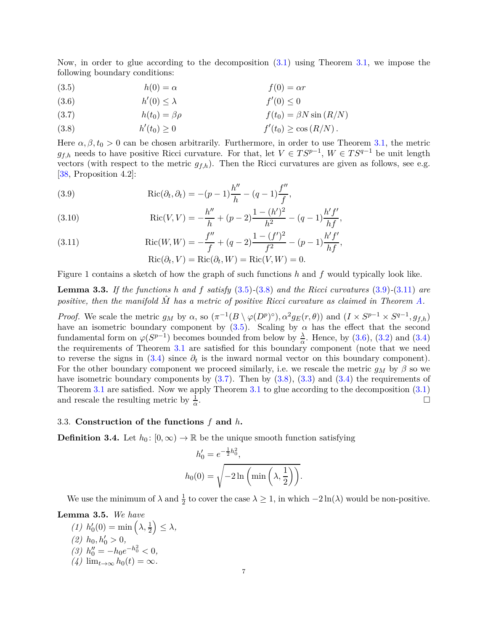Now, in order to glue according to the decomposition [\(3.1\)](#page-4-4) using Theorem [3.1,](#page-4-2) we impose the following boundary conditions:

<span id="page-6-0"></span>(3.5)  $h(0) = \alpha$   $f(0) = \alpha r$ 

<span id="page-6-4"></span>
$$
(3.6) \t\t h'(0) \le \lambda \t\t f'(0) \le 0
$$

<span id="page-6-5"></span>(3.7) 
$$
h(t_0) = \beta \rho \qquad f(t_0) = \beta N \sin(R/N)
$$

<span id="page-6-1"></span>(3.8) 
$$
h'(t_0) \ge 0
$$
  $f'(t_0) \ge \cos(R/N)$ .

Here  $\alpha, \beta, t_0 > 0$  can be chosen arbitrarily. Furthermore, in order to use Theorem [3.1,](#page-4-2) the metric *g*<sub>*f*,*h*</sub> needs to have positive Ricci curvature. For that, let *V* ∈  $TS^{p-1}$ , *W* ∈  $TS^{q-1}$  be unit length vectors (with respect to the metric  $g_{f,h}$ ). Then the Ricci curvatures are given as follows, see e.g. [\[38,](#page-17-15) Proposition 4.2]:

<span id="page-6-2"></span>Ric(*∂<sup>t</sup> , ∂t*) = <sup>−</sup>(*<sup>p</sup>* <sup>−</sup> 1)*<sup>h</sup>* ′′ *h* <sup>−</sup> (*<sup>q</sup>* <sup>−</sup> 1)*<sup>f</sup>* ′′ *f* (3.9) *,*

Ric(*V, V* ) = − *h* ′′ *h* + (*<sup>p</sup>* <sup>−</sup> 2)<sup>1</sup> <sup>−</sup> (*<sup>h</sup>* ′ ) 2 *h* 2 <sup>−</sup> (*<sup>q</sup>* <sup>−</sup> 1)*<sup>h</sup>* ′*f* ′ *hf* (3.10) *,*

<span id="page-6-3"></span>(3.11) 
$$
Ric(W, W) = -\frac{f''}{f} + (q - 2)\frac{1 - (f')^{2}}{f^{2}} - (p - 1)\frac{h'f'}{hf},
$$

$$
Ric(\partial_{t}, V) = Ric(\partial_{t}, W) = Ric(V, W) = 0.
$$

Figure 1 contains a sketch of how the graph of such functions *h* and *f* would typically look like.

<span id="page-6-6"></span>**Lemma 3.3.** *If the functions h and f satisfy* [\(3.5\)](#page-6-0)*-*[\(3.8\)](#page-6-1) *and the Ricci curvatures* [\(3.9\)](#page-6-2)*-*[\(3.11\)](#page-6-3) *are positive, then the manifold M*ˆ *has a metric of positive Ricci curvature as claimed in Theorem [A.](#page-2-1)*

*Proof.* We scale the metric  $g_M$  by  $\alpha$ , so  $(\pi^{-1}(B \setminus \varphi(D^p)^{\circ}), \alpha^2 g_E(r, \theta))$  and  $(I \times S^{p-1} \times S^{q-1}, g_{f,h})$ have an isometric boundary component by  $(3.5)$ . Scaling by  $\alpha$  has the effect that the second fundamental form on  $\varphi(S^{p-1})$  becomes bounded from below by  $\frac{\lambda}{\alpha}$ . Hence, by [\(3.6\)](#page-6-4), [\(3.2\)](#page-5-0) and [\(3.4\)](#page-5-1) the requirements of Theorem [3.1](#page-4-2) are satisfied for this boundary component (note that we need to reverse the signs in  $(3.4)$  since  $\partial_t$  is the inward normal vector on this boundary component). For the other boundary component we proceed similarly, i.e. we rescale the metric  $g_M$  by  $\beta$  so we have isometric boundary components by  $(3.7)$ . Then by  $(3.8)$ ,  $(3.3)$  and  $(3.4)$  the requirements of Theorem [3.1](#page-4-2) are satisfied. Now we apply Theorem [3.1](#page-4-2) to glue according to the decomposition [\(3.1\)](#page-4-4) and rescale the resulting metric by  $\frac{1}{\alpha}$ .

#### 3.3. **Construction of the functions** *f* **and** *h***.**

**Definition 3.4.** Let  $h_0: [0, \infty) \to \mathbb{R}$  be the unique smooth function satisfying

$$
h'_0 = e^{-\frac{1}{2}h_0^2},
$$
  

$$
h_0(0) = \sqrt{-2\ln\left(\min\left(\lambda, \frac{1}{2}\right)\right)}.
$$

We use the minimum of  $\lambda$  and  $\frac{1}{2}$  to cover the case  $\lambda \geq 1$ , in which  $-2\ln(\lambda)$  would be non-positive.

**Lemma 3.5.** *We have*

*(1)*  $h'_0(0) = \min\left(\lambda, \frac{1}{2}\right)$  $\leq \lambda$ *,* (2)  $h_0, h'_0 > 0$ ,  $h''_0 = -h_0 e^{-h_0^2} < 0,$  $(4)$  lim<sub>*t*→∞</sub>  $h_0(t) = \infty$ .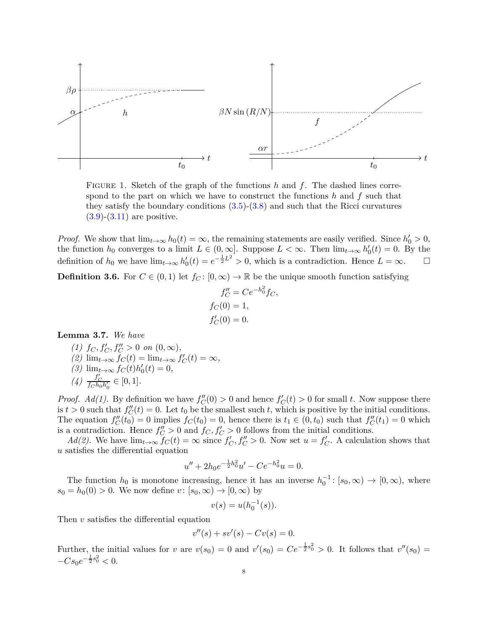

FIGURE 1. Sketch of the graph of the functions *h* and *f*. The dashed lines correspond to the part on which we have to construct the functions *h* and *f* such that they satisfy the boundary conditions [\(3.5\)](#page-6-0)-[\(3.8\)](#page-6-1) and such that the Ricci curvatures  $(3.9)-(3.11)$  $(3.9)-(3.11)$  $(3.9)-(3.11)$  are positive.

*Proof.* We show that  $\lim_{t\to\infty} h_0(t) = \infty$ , the remaining statements are easily verified. Since  $h'_0 > 0$ , the function  $h_0$  converges to a limit  $L \in (0,\infty]$ . Suppose  $L < \infty$ . Then  $\lim_{t\to\infty} h'_0(t) = 0$ . By the definition of  $h_0$  we have  $\lim_{t\to\infty} h'_0(t) = e^{-\frac{1}{2}L^2} > 0$ , which is a contradiction. Hence  $L = \infty$ .

**Definition 3.6.** For  $C \in (0,1)$  let  $f_C: [0,\infty) \to \mathbb{R}$  be the unique smooth function satisfying

$$
f''_C = Ce^{-h_0^2}f_C,
$$
  
\n
$$
f_C(0) = 1,
$$
  
\n
$$
f'_C(0) = 0.
$$

<span id="page-7-0"></span>**Lemma 3.7.** *We have*

(1) 
$$
f_C, f'_C, f''_C > 0
$$
 on  $(0, \infty)$ ,  
\n(2)  $\lim_{t \to \infty} f_C(t) = \lim_{t \to \infty} f'_C(t) = \infty$ ,  
\n(3)  $\lim_{t \to \infty} f_C(t)h'_0(t) = 0$ ,  
\n(4)  $\frac{f'_C}{f_Ch_0h'_0} \in [0, 1]$ .

*Proof.*  $Ad(1)$ . By definition we have  $f''_C(0) > 0$  and hence  $f'_{C}(t) > 0$  for small *t*. Now suppose there is  $t > 0$  such that  $f''_C(t) = 0$ . Let  $t_0$  be the smallest such  $t$ , which is positive by the initial conditions. The equation  $f''_C(t_0) = 0$  implies  $f_C(t_0) = 0$ , hence there is  $t_1 \in (0, t_0)$  such that  $f''_C(t_1) = 0$  which is a contradiction. Hence  $f''_C > 0$  and  $f_C, f'_C > 0$  follows from the initial conditions.

*Ad(2)*. We have  $\lim_{t\to\infty} f_C(t) = \infty$  since  $f'_C, f''_C > 0$ . Now set  $u = f'_C$ . A calculation shows that *u* satisfies the differential equation

$$
u'' + 2h_0 e^{-\frac{1}{2}h_0^2}u' - Ce^{-h_0^2}u = 0.
$$

The function  $h_0$  is monotone increasing, hence it has an inverse  $h_0^{-1}$ : [ $s_0, \infty$ ) → [ $0, \infty$ ), where  $s_0 = h_0(0) > 0$ . We now define  $v : [s_0, \infty) \to [0, \infty)$  by

$$
v(s) = u(h_0^{-1}(s)).
$$

Then *v* satisfies the differential equation

$$
v''(s) + sv'(s) - Cv(s) = 0.
$$

Further, the initial values for *v* are  $v(s_0) = 0$  and  $v'(s_0) = Ce^{-\frac{1}{2}s_0^2} > 0$ . It follows that  $v''(s_0) = 0$  $-Cs_0e^{-\frac{1}{2}s_0^2} < 0.$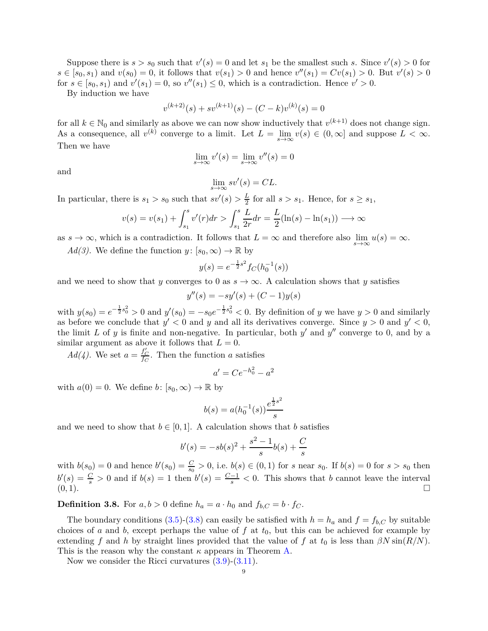Suppose there is  $s > s_0$  such that  $v'(s) = 0$  and let  $s_1$  be the smallest such *s*. Since  $v'(s) > 0$  for  $s \in [s_0, s_1)$  and  $v(s_0) = 0$ , it follows that  $v(s_1) > 0$  and hence  $v''(s_1) = Cv(s_1) > 0$ . But  $v'(s) > 0$ for  $s \in [s_0, s_1)$  and  $v'(s_1) = 0$ , so  $v''(s_1) \leq 0$ , which is a contradiction. Hence  $v' > 0$ .

By induction we have

$$
v^{(k+2)}(s) + sv^{(k+1)}(s) - (C-k)v^{(k)}(s) = 0
$$

for all  $k \in \mathbb{N}_0$  and similarly as above we can now show inductively that  $v^{(k+1)}$  does not change sign. As a consequence, all  $v^{(k)}$  converge to a limit. Let  $L = \lim_{s \to \infty} v(s) \in (0, \infty]$  and suppose  $L < \infty$ . Then we have

$$
\lim_{s \to \infty} v'(s) = \lim_{s \to \infty} v''(s) = 0
$$

and

$$
\lim_{s \to \infty} s v'(s) = CL.
$$

In particular, there is  $s_1 > s_0$  such that  $sv'(s) > \frac{L}{2}$  $\frac{L}{2}$  for all  $s > s_1$ . Hence, for  $s \geq s_1$ ,

$$
v(s) = v(s_1) + \int_{s_1}^s v'(r) dr > \int_{s_1}^s \frac{L}{2r} dr = \frac{L}{2} (\ln(s) - \ln(s_1)) \longrightarrow \infty
$$

as  $s \to \infty$ , which is a contradiction. It follows that  $L = \infty$  and therefore also  $\lim_{s \to \infty} u(s) = \infty$ .

*Ad(3)*. We define the function  $y: [s_0, \infty) \to \mathbb{R}$  by

$$
y(s) = e^{-\frac{1}{2}s^2} f_C(h_0^{-1}(s))
$$

and we need to show that *y* converges to 0 as  $s \to \infty$ . A calculation shows that *y* satisfies

$$
y''(s) = -sy'(s) + (C - 1)y(s)
$$

with  $y(s_0) = e^{-\frac{1}{2}s_0^2} > 0$  and  $y'(s_0) = -s_0e^{-\frac{1}{2}s_0^2} < 0$ . By definition of *y* we have  $y > 0$  and similarly as before we conclude that  $y' < 0$  and  $y$  and all its derivatives converge. Since  $y > 0$  and  $y' < 0$ , the limit  $L$  of  $y$  is finite and non-negative. In particular, both  $y'$  and  $y''$  converge to 0, and by a similar argument as above it follows that  $L = 0$ .

 $Ad(4)$ . We set  $a = \frac{f_C'}{f_C}$ . Then the function *a* satisfies

$$
a' = Ce^{-h_0^2} - a^2
$$

with  $a(0) = 0$ . We define  $b: [s_0, \infty) \to \mathbb{R}$  by

$$
b(s) = a(h_0^{-1}(s)) \frac{e^{\frac{1}{2}s^2}}{s}
$$

and we need to show that  $b \in [0, 1]$ . A calculation shows that *b* satisfies

$$
b'(s) = -sb(s)^2 + \frac{s^2 - 1}{s}b(s) + \frac{C}{s}
$$

with  $b(s_0) = 0$  and hence  $b'(s_0) = \frac{C}{s_0} > 0$ , i.e.  $b(s) \in (0,1)$  for *s* near  $s_0$ . If  $b(s) = 0$  for  $s > s_0$  then  $b'(s) = \frac{C}{s} > 0$  and if  $b(s) = 1$  then  $b'(s) = \frac{C-1}{s} < 0$ . This shows that *b* cannot leave the interval (0*,* 1).

**Definition 3.8.** For  $a, b > 0$  define  $h_a = a \cdot h_0$  and  $f_{b, C} = b \cdot f_C$ .

The boundary conditions [\(3.5\)](#page-6-0)-[\(3.8\)](#page-6-1) can easily be satisfied with  $h = h_a$  and  $f = f_{b,C}$  by suitable choices of *a* and *b*, except perhaps the value of  $f$  at  $t_0$ , but this can be achieved for example by extending *f* and *h* by straight lines provided that the value of *f* at  $t_0$  is less than  $\beta N \sin(R/N)$ . This is the reason why the constant  $\kappa$  appears in Theorem [A.](#page-2-1)

Now we consider the Ricci curvatures  $(3.9)-(3.11)$  $(3.9)-(3.11)$  $(3.9)-(3.11)$ .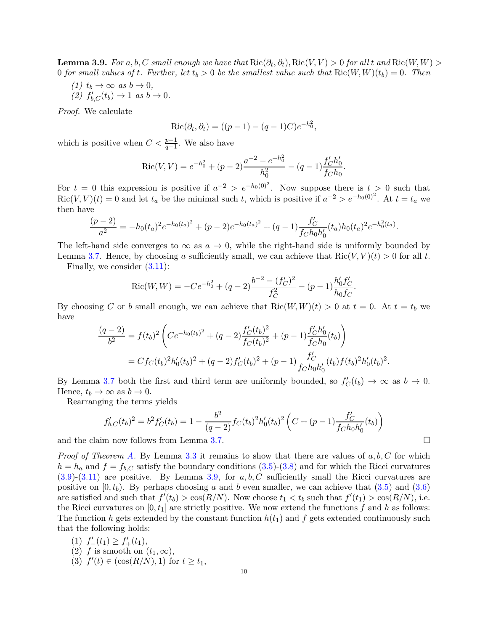<span id="page-9-0"></span>**Lemma 3.9.** For a, b, C small enough we have that  $\text{Ric}(\partial_t, \partial_t)$ ,  $\text{Ric}(V, V) > 0$  for all t and  $\text{Ric}(W, W) > 0$ 0 *for small values of t. Further, let*  $t_b > 0$  *be the smallest value such that*  $Ric(W, W)(t_b) = 0$ *. Then* 

 $(1)$   $t_b \rightarrow \infty$  *as*  $b \rightarrow 0$ *,*  $(2)$   $f'_{b,C}(t_b) \to 1$  *as*  $b \to 0$ *.* 

*Proof.* We calculate

$$
Ric(\partial_t, \partial_t) = ((p-1) - (q-1)C)e^{-h_0^2},
$$

which is positive when  $C < \frac{p-1}{q-1}$ . We also have

$$
Ric(V, V) = e^{-h_0^2} + (p-2)\frac{a^{-2} - e^{-h_0^2}}{h_0^2} - (q-1)\frac{f'_C h'_0}{f_C h_0}
$$

*.*

For  $t = 0$  this expression is positive if  $a^{-2} > e^{-h_0(0)^2}$ . Now suppose there is  $t > 0$  such that Ric(*V*, *V*)(*t*) = 0 and let  $t_a$  be the minimal such *t*, which is positive if  $a^{-2} > e^{-h_0(0)^2}$ . At  $t = t_a$  we then have

$$
\frac{(p-2)}{a^2} = -h_0(t_a)^2 e^{-h_0(t_a)^2} + (p-2)e^{-h_0(t_a)^2} + (q-1)\frac{f'_C}{f_Ch_0h'_0}(t_a)h_0(t_a)^2e^{-h_0^2(t_a)}.
$$

The left-hand side converges to  $\infty$  as  $a \to 0$ , while the right-hand side is uniformly bounded by Lemma [3.7.](#page-7-0) Hence, by choosing *a* sufficiently small, we can achieve that  $\text{Ric}(V, V)(t) > 0$  for all *t*.

Finally, we consider  $(3.11)$ :

$$
Ric(W, W) = -Ce^{-h_0^2} + (q-2)\frac{b^{-2} - (f'_C)^2}{f_C^2} - (p-1)\frac{h'_0 f'_C}{h_0 f_C}.
$$

By choosing *C* or *b* small enough, we can achieve that  $\text{Ric}(W, W)(t) > 0$  at  $t = 0$ . At  $t = t_b$  we have

$$
\frac{(q-2)}{b^2} = f(t_b)^2 \left( Ce^{-h_0(t_b)^2} + (q-2) \frac{f'_C(t_b)^2}{f_C(t_b)^2} + (p-1) \frac{f'_C h'_0}{f_C h_0}(t_b) \right)
$$
  
=  $C f_C(t_b)^2 h'_0(t_b)^2 + (q-2) f'_C(t_b)^2 + (p-1) \frac{f'_C}{f_C h_0 h'_0}(t_b) f(t_b)^2 h'_0(t_b)^2.$ 

By Lemma [3.7](#page-7-0) both the first and third term are uniformly bounded, so  $f'_{\mathcal{C}}(t_b) \to \infty$  as  $b \to 0$ . Hence,  $t_b \to \infty$  as  $b \to 0$ .

Rearranging the terms yields

$$
f'_{b,C}(t_b)^2 = b^2 f'_C(t_b) = 1 - \frac{b^2}{(q-2)} f_C(t_b)^2 h'_0(t_b)^2 \left( C + (p-1) \frac{f'_C}{f_C h_0 h'_0}(t_b) \right)
$$

and the claim now follows from Lemma [3.7.](#page-7-0)

*Proof of Theorem [A.](#page-2-1)* By Lemma [3.3](#page-6-6) it remains to show that there are values of *a, b, C* for which  $h = h_a$  and  $f = f_{b,C}$  satisfy the boundary conditions  $(3.5)-(3.8)$  $(3.5)-(3.8)$  $(3.5)-(3.8)$  and for which the Ricci curvatures [\(3.9\)](#page-6-2)-[\(3.11\)](#page-6-3) are positive. By Lemma [3.9,](#page-9-0) for *a, b, C* sufficiently small the Ricci curvatures are positive on  $[0, t_b)$ . By perhaps choosing *a* and *b* even smaller, we can achieve that  $(3.5)$  and  $(3.6)$ are satisfied and such that  $f'(t_b) > \cos(R/N)$ . Now choose  $t_1 < t_b$  such that  $f'(t_1) > \cos(R/N)$ , i.e. the Ricci curvatures on  $[0, t_1]$  are strictly positive. We now extend the functions  $f$  and  $h$  as follows: The function *h* gets extended by the constant function  $h(t_1)$  and f gets extended continuously such that the following holds:

(1) 
$$
f'_{-}(t_1) \ge f'_{+}(t_1)
$$
,  
(2) f is smooth on  $(t_1, \infty)$ ,  
(3)  $f'(t) \in (\cos(R/N), 1)$  for  $t \ge t_1$ ,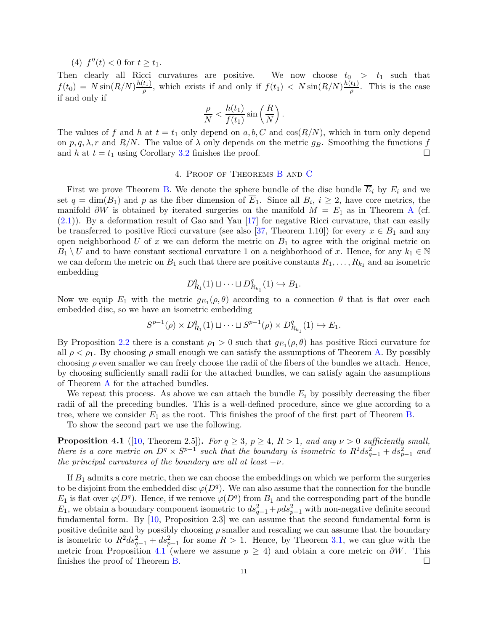(4)  $f''(t) < 0$  for  $t \ge t_1$ .

Then clearly all Ricci curvatures are positive. We now choose  $t_0 > t_1$  such that  $f(t_0) = N \sin(R/N) \frac{h(t_1)}{a}$  $\frac{f(t_1)}{\rho}$ , which exists if and only if  $f(t_1) < N \sin(R/N) \frac{h(t_1)}{\rho}$  $\frac{\mu_1}{\rho}$ . This is the case if and only if

$$
\frac{\rho}{N} < \frac{h(t_1)}{f(t_1)} \sin\left(\frac{R}{N}\right).
$$

The values of f and h at  $t = t_1$  only depend on  $a, b, C$  and  $\cos(R/N)$ , which in turn only depend on  $p, q, \lambda, r$  and  $R/N$ . The value of  $\lambda$  only depends on the metric  $g_B$ . Smoothing the functions  $f$ and *h* at  $t = t_1$  using Corollary [3.2](#page-5-3) finishes the proof.

#### 4. Proof of Theorems [B](#page-2-3) and [C](#page-2-2)

<span id="page-10-0"></span>First we prove Theorem [B.](#page-2-3) We denote the sphere bundle of the disc bundle  $\overline{E}_i$  by  $E_i$  and we set  $q = \dim(B_1)$  and  $p$  as the fiber dimension of  $E_1$ . Since all  $B_i$ ,  $i \geq 2$ , have core metrics, the manifold  $\partial W$  is obtained by iterated surgeries on the manifold  $M = E_1$  as in Theorem [A](#page-2-1) (cf. [\(2.1\)](#page-4-1)). By a deformation result of Gao and Yau [\[17\]](#page-16-14) for negative Ricci curvature, that can easily be transferred to positive Ricci curvature (see also [\[37,](#page-17-16) Theorem 1.10]) for every  $x \in B_1$  and any open neighborhood  $U$  of  $x$  we can deform the metric on  $B_1$  to agree with the original metric on  $B_1 \setminus U$  and to have constant sectional curvature 1 on a neighborhood of *x*. Hence, for any  $k_1 \in \mathbb{N}$ we can deform the metric on  $B_1$  such that there are positive constants  $R_1, \ldots, R_{k_1}$  and an isometric embedding

$$
D_{R_1}^q(1) \sqcup \cdots \sqcup D_{R_{k_1}}^q(1) \hookrightarrow B_1.
$$

Now we equip  $E_1$  with the metric  $g_{E_1}(\rho, \theta)$  according to a connection  $\theta$  that is flat over each embedded disc, so we have an isometric embedding

$$
S^{p-1}(\rho) \times D_{R_1}^q(1) \sqcup \cdots \sqcup S^{p-1}(\rho) \times D_{R_{k_1}}^q(1) \hookrightarrow E_1.
$$

By Proposition [2.2](#page-4-5) there is a constant  $\rho_1 > 0$  such that  $g_{E_1}(\rho, \theta)$  has positive Ricci curvature for all  $\rho < \rho_1$ . By choosing  $\rho$  small enough we can satisfy the assumptions of Theorem [A.](#page-2-1) By possibly choosing  $\rho$  even smaller we can freely choose the radii of the fibers of the bundles we attach. Hence, by choosing sufficiently small radii for the attached bundles, we can satisfy again the assumptions of Theorem [A](#page-2-1) for the attached bundles.

We repeat this process. As above we can attach the bundle  $E_i$  by possibly decreasing the fiber radii of all the preceding bundles. This is a well-defined procedure, since we glue according to a tree, where we consider *E*<sup>1</sup> as the root. This finishes the proof of the first part of Theorem [B.](#page-2-3)

To show the second part we use the following.

<span id="page-10-1"></span>**Proposition 4.1** ([\[10,](#page-16-7) Theorem 2.5]). For  $q \geq 3$ ,  $p \geq 4$ ,  $R > 1$ , and any  $\nu > 0$  sufficiently small, *there is a core metric on*  $D^q \times S^{p-1}$  such that the boundary is isometric to  $R^2 ds_{q-1}^2 + ds_{p-1}^2$  and *the principal curvatures of the boundary are all at least*  $-\nu$ *.* 

If  $B_1$  admits a core metric, then we can choose the embeddings on which we perform the surgeries to be disjoint from the embedded disc  $\varphi(D^q)$ . We can also assume that the connection for the bundle *E*<sub>1</sub> is flat over  $\varphi(D^q)$ . Hence, if we remove  $\varphi(D^q)$  from  $B_1$  and the corresponding part of the bundle  $E_1$ , we obtain a boundary component isometric to  $ds_{q-1}^2 + \rho ds_{p-1}^2$  with non-negative definite second fundamental form. By [\[10,](#page-16-7) Proposition 2.3] we can assume that the second fundamental form is positive definite and by possibly choosing  $\rho$  smaller and rescaling we can assume that the boundary is isometric to  $R^2 ds_{q-1}^2 + ds_{p-1}^2$  for some  $R > 1$ . Hence, by Theorem [3.1,](#page-4-2) we can glue with the metric from Proposition [4.1](#page-10-1) (where we assume  $p \geq 4$ ) and obtain a core metric on  $\partial W$ . This finishes the proof of Theorem [B.](#page-2-3)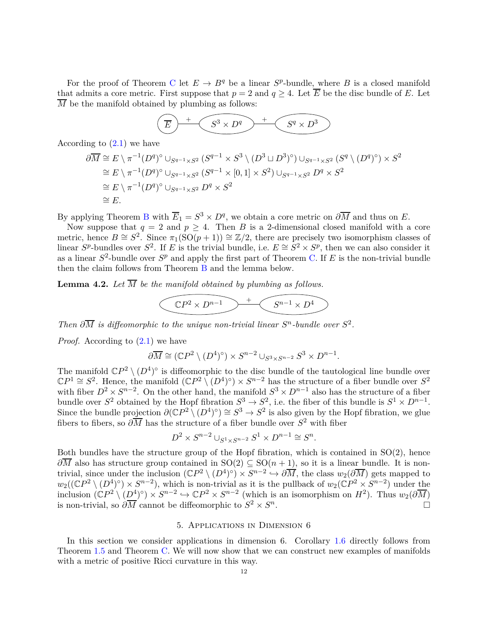For the proof of Theorem [C](#page-2-2) let  $E \to B^q$  be a linear  $S^p$ -bundle, where B is a closed manifold that admits a core metric. First suppose that  $p = 2$  and  $q \ge 4$ . Let  $\overline{E}$  be the disc bundle of *E*. Let  $\overline{M}$  be the manifold obtained by plumbing as follows:

$$
\left(\overline{E}\right)^{+}\left(\overline{S^{3}\times D^{q}}\right)^{+}\left(\overline{S^{q}\times D^{3}}\right)
$$

According to  $(2.1)$  we have

$$
\partial \overline{M} \cong E \setminus \pi^{-1}(D^q)^{\circ} \cup_{S^{q-1} \times S^2} (S^{q-1} \times S^3 \setminus (D^3 \sqcup D^3)^{\circ}) \cup_{S^{q-1} \times S^2} (S^q \setminus (D^q)^{\circ}) \times S^2
$$
  
\n
$$
\cong E \setminus \pi^{-1}(D^q)^{\circ} \cup_{S^{q-1} \times S^2} (S^{q-1} \times [0,1] \times S^2) \cup_{S^{q-1} \times S^2} D^q \times S^2
$$
  
\n
$$
\cong E \setminus \pi^{-1}(D^q)^{\circ} \cup_{S^{q-1} \times S^2} D^q \times S^2
$$
  
\n
$$
\cong E.
$$

[B](#page-2-3)y applying Theorem B with  $\overline{E}_1 = S^3 \times D^q$ , we obtain a core metric on  $\partial \overline{M}$  and thus on *E*.

Now suppose that  $q = 2$  and  $p \geq 4$ . Then *B* is a 2-dimensional closed manifold with a core metric, hence  $B \cong S^2$ . Since  $\pi_1(SO(p+1)) \cong \mathbb{Z}/2$ , there are precisely two isomorphism classes of linear  $S^p$ -bundles over  $S^2$ . If *E* is the trivial bundle, i.e.  $E \cong S^2 \times S^p$ , then we can also consider it as a linear  $S^2$ -bundle over  $S^p$  and apply the first part of Theorem [C.](#page-2-2) If *E* is the non-trivial bundle then the claim follows from Theorem [B](#page-2-3) and the lemma below.

**Lemma 4.2.** Let  $\overline{M}$  be the manifold obtained by plumbing as follows.

$$
\left(\mathbb{C}P^2 \times D^{n-1}\right) \xrightarrow{+} \left(\mathbb{S}^{n-1} \times D^4\right)
$$

*Then*  $\partial \overline{M}$  *is diffeomorphic to the unique non-trivial linear*  $S<sup>n</sup>$ -bundle over  $S<sup>2</sup>$ .

*Proof.* According to  $(2.1)$  we have

$$
\partial \overline{M} \cong (\mathbb{C}P^2 \setminus (D^4)^{\circ}) \times S^{n-2} \cup_{S^3 \times S^{n-2}} S^3 \times D^{n-1}.
$$

The manifold  $\mathbb{C}P^2 \setminus (D^4)^\circ$  is diffeomorphic to the disc bundle of the tautological line bundle over  $\mathbb{C}P^1 \cong S^2$ . Hence, the manifold  $(\mathbb{C}P^2 \setminus (D^4)^{\circ}) \times S^{n-2}$  has the structure of a fiber bundle over  $S^2$ with fiber  $D^2 \times S^{n-2}$ . On the other hand, the manifold  $S^3 \times D^{n-1}$  also has the structure of a fiber bundle over  $S^2$  obtained by the Hopf fibration  $S^3 \to S^2$ , i.e. the fiber of this bundle is  $S^1 \times D^{n-1}$ . Since the bundle projection  $\partial(\mathbb{C}P^2 \setminus (D^4)^{\circ}) \cong S^3 \to S^2$  is also given by the Hopf fibration, we glue fibers to fibers, so  $\partial \overline{M}$  has the structure of a fiber bundle over  $S^2$  with fiber

$$
D^2 \times S^{n-2} \cup_{S^1 \times S^{n-2}} S^1 \times D^{n-1} \cong S^n.
$$

Both bundles have the structure group of the Hopf fibration, which is contained in  $SO(2)$ , hence  $\partial \overline{M}$  also has structure group contained in SO(2) ⊆ SO(*n* + 1), so it is a linear bundle. It is nontrivial, since under the inclusion  $(\mathbb{C}P^2 \setminus (D^4)^{\circ}) \times S^{n-2} \hookrightarrow \partial \overline{M}$ , the class  $w_2(\partial \overline{M})$  gets mapped to  $w_2((\mathbb{C}P^2 \setminus (D^4)^{\circ}) \times S^{n-2})$ , which is non-trivial as it is the pullback of  $w_2(\mathbb{C}P^2 \times S^{n-2})$  under the inclusion  $(\mathbb{C}P^2 \setminus (D^4)^{\circ}) \times S^{n-2} \hookrightarrow \mathbb{C}P^2 \times S^{n-2}$  (which is an isomorphism on  $H^2$ ). Thus  $w_2(\partial \overline{M})$ is non-trivial, so  $\partial \overline{M}$  cannot be diffeomorphic to  $S^2 \times S^n$ .

#### 5. Applications in Dimension 6

<span id="page-11-0"></span>In this section we consider applications in dimension 6. Corollary [1.6](#page-2-4) directly follows from Theorem [1.5](#page-1-2) and Theorem [C.](#page-2-2) We will now show that we can construct new examples of manifolds with a metric of positive Ricci curvature in this way.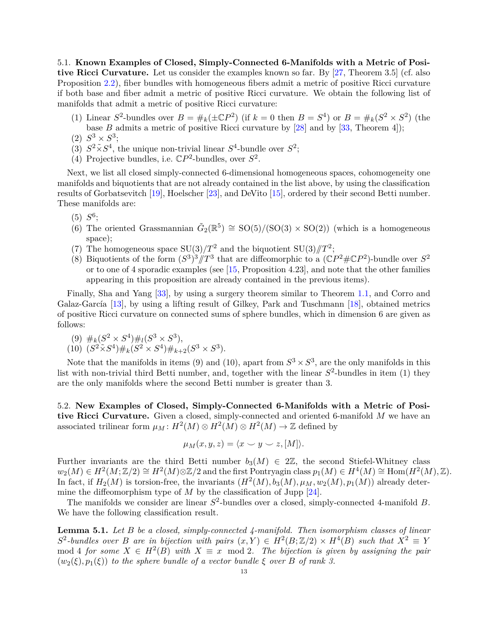<span id="page-12-0"></span>5.1. **Known Examples of Closed, Simply-Connected 6-Manifolds with a Metric of Positive Ricci Curvature.** Let us consider the examples known so far. By [\[27,](#page-17-3) Theorem 3.5] (cf. also Proposition [2.2\)](#page-4-5), fiber bundles with homogeneous fibers admit a metric of positive Ricci curvature if both base and fiber admit a metric of positive Ricci curvature. We obtain the following list of manifolds that admit a metric of positive Ricci curvature:

- (1) Linear  $S^2$ -bundles over  $B = \#_k(\pm \mathbb{C}P^2)$  (if  $k = 0$  then  $B = S^4$ ) or  $B = \#_k(S^2 \times S^2)$  (the base *B* admits a metric of positive Ricci curvature by [\[28\]](#page-17-12) and by [\[33,](#page-17-9) Theorem 4]);
- (2)  $S^3 \times S^3$ ;
- (3)  $S^2 \tilde{\times} S^4$ , the unique non-trivial linear  $S^4$ -bundle over  $S^2$ ;
- (4) Projective bundles, i.e.  $\mathbb{C}P^2$ -bundles, over  $S^2$ .

Next, we list all closed simply-connected 6-dimensional homogeneous spaces, cohomogeneity one manifolds and biquotients that are not already contained in the list above, by using the classification results of Gorbatsevitch [\[19\]](#page-17-17), Hoelscher [\[23\]](#page-17-18), and DeVito [\[15\]](#page-16-15), ordered by their second Betti number. These manifolds are:

- $(5) S^6;$
- (6) The oriented Grassmannian  $\tilde{G}_2(\mathbb{R}^5) \cong SO(5)/(SO(3) \times SO(2))$  (which is a homogeneous space);
- (7) The homogeneous space  $SU(3)/T^2$  and the biquotient  $SU(3)/T^2$ ;
- (8) Biquotients of the form  $(S^3)^3 / T^3$  that are diffeomorphic to a  $({\mathbb{C}}P^2 \# {\mathbb{C}}P^2)$ -bundle over  $S^2$ or to one of 4 sporadic examples (see [\[15,](#page-16-15) Proposition 4.23], and note that the other families appearing in this proposition are already contained in the previous items).

Finally, Sha and Yang [\[33\]](#page-17-9), by using a surgery theorem similar to Theorem [1.1,](#page-1-0) and Corro and Galaz-García [\[13\]](#page-16-16), by using a lifting result of Gilkey, Park and Tuschmann [\[18\]](#page-16-1), obtained metrics of positive Ricci curvature on connected sums of sphere bundles, which in dimension 6 are given as follows:

$$
(9) \#_{k}(S^{2} \times S^{4}) \#_{l}(S^{3} \times S^{3}),
$$

(10)  $(S^2 \tilde{\times} S^4) \#_k (S^2 \times S^4) \#_{k+2} (S^3 \times S^3)$ .

Note that the manifolds in items (9) and (10), apart from  $S^3 \times S^3$ , are the only manifolds in this list with non-trivial third Betti number, and, together with the linear  $S^2$ -bundles in item (1) they are the only manifolds where the second Betti number is greater than 3.

5.2. **New Examples of Closed, Simply-Connected 6-Manifolds with a Metric of Positive Ricci Curvature.** Given a closed, simply-connected and oriented 6-manifold *M* we have an associated trilinear form  $\mu_M$ :  $H^2(M) \otimes H^2(M) \otimes H^2(M) \to \mathbb{Z}$  defined by

$$
\mu_M(x, y, z) = \langle x \smile y \smile z, [M] \rangle.
$$

Further invariants are the third Betti number  $b_3(M) \in 2\mathbb{Z}$ , the second Stiefel-Whitney class  $w_2(M) \in H^2(M; \mathbb{Z}/2) \cong H^2(M) \otimes \mathbb{Z}/2$  and the first Pontryagin class  $p_1(M) \in H^4(M) \cong \text{Hom}(H^2(M), \mathbb{Z})$ . In fact, if  $H_2(M)$  is torsion-free, the invariants  $(H^2(M), b_3(M), \mu_M, w_2(M), p_1(M))$  already determine the diffeomorphism type of *M* by the classification of Jupp [\[24\]](#page-17-19).

The manifolds we consider are linear  $S^2$ -bundles over a closed, simply-connected 4-manifold *B*. We have the following classification result.

**Lemma 5.1.** *Let B be a closed, simply-connected 4-manifold. Then isomorphism classes of linear*  $S^2$ -bundles over *B* are in bijection with pairs  $(x, Y) \in H^2(B; \mathbb{Z}/2) \times H^4(B)$  such that  $X^2 \equiv Y$  $\text{mod } 4$  *for some*  $X \in H^2(B)$  *with*  $X \equiv x \mod 2$ . The bijection is given by assigning the pair  $(w_2(\xi), p_1(\xi))$  *to the sphere bundle of a vector bundle*  $\xi$  *over*  $B$  *of rank 3.*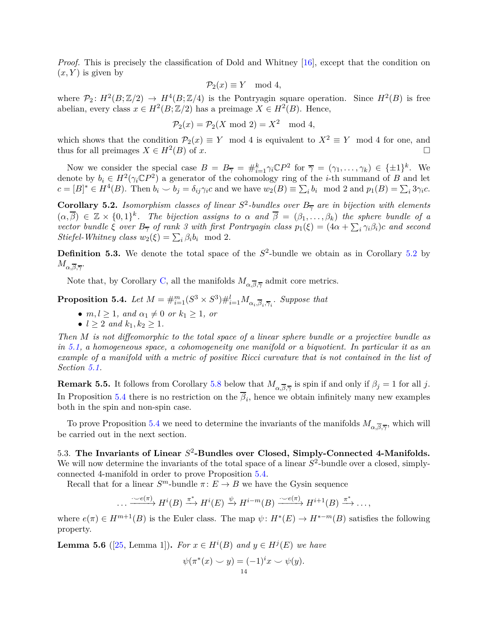*Proof.* This is precisely the classification of Dold and Whitney [\[16\]](#page-16-17), except that the condition on  $(x, Y)$  is given by

$$
\mathcal{P}_2(x) \equiv Y \mod 4,
$$

where  $\mathcal{P}_2$ :  $H^2(B;\mathbb{Z}/2) \to H^4(B;\mathbb{Z}/4)$  is the Pontryagin square operation. Since  $H^2(B)$  is free abelian, every class  $x \in H^2(B; \mathbb{Z}/2)$  has a preimage  $X \in H^2(B)$ . Hence,

$$
\mathcal{P}_2(x) = \mathcal{P}_2(X \bmod 2) = X^2 \mod 4,
$$

which shows that the condition  $\mathcal{P}_2(x) \equiv Y \mod 4$  is equivalent to  $X^2 \equiv Y \mod 4$  for one, and thus for all preimages  $X \in H^2(B)$  of *x*.

Now we consider the special case  $B = B_{\overline{\gamma}} = \#_{i=1}^k \gamma_i \mathbb{C} P^2$  for  $\overline{\gamma} = (\gamma_1, \dots, \gamma_k) \in \{\pm 1\}^k$ . We denote by  $b_i \in H^2(\gamma_i \mathbb{C}P^2)$  a generator of the cohomology ring of the *i*-th summand of *B* and let  $c = [B]^* \in H^4(B)$ . Then  $b_i \smile b_j = \delta_{ij} \gamma_i c$  and we have  $w_2(B) \equiv \sum_i b_i \mod 2$  and  $p_1(B) = \sum_i 3\gamma_i c$ .

<span id="page-13-3"></span>**Corollary 5.2.** *Isomorphism classes of linear*  $S^2$ -bundles over  $B_{\overline{\gamma}}$  are in bijection with elements  $(\alpha, \overline{\beta}) \in \mathbb{Z} \times \{0,1\}^k$ . The bijection assigns to  $\alpha$  and  $\overline{\beta} = (\beta_1, \ldots, \beta_k)$  the sphere bundle of a *vector bundle*  $\xi$  *over*  $B_{\overline{\gamma}}$  *of rank 3 with first Pontryagin class*  $p_1(\xi) = (4\alpha + \sum_i \gamma_i \beta_i)c$  *and second Stiefel-Whitney class*  $w_2(\xi) = \sum_i \beta_i b_i \mod 2$ .

**Definition 5.3.** We denote the total space of the  $S^2$ -bundle we obtain as in Corollary [5.2](#page-13-3) by  $M_{\alpha,\overline{\beta},\overline{\gamma}}.$ 

Note that, by Corollary [C,](#page-2-2) all the manifolds  $M_{\alpha,\overline{\beta},\overline{\gamma}}$  admit core metrics.

<span id="page-13-1"></span>**Proposition 5.4.** *Let*  $M = \#_{i=1}^m (S^3 \times S^3) \#_{i=1}^l M_{\alpha_i, \overline{\beta}_i, \overline{\gamma}_i}$ *. Suppose that* 

- $m, l \geq 1$ *, and*  $\alpha_1 \neq 0$  *or*  $k_1 \geq 1$ *, or*
- $l \geq 2$  *and*  $k_1, k_2 \geq 1$ *.*

*Then M is not diffeomorphic to the total space of a linear sphere bundle or a projective bundle as in [5.1,](#page-12-0) a homogeneous space, a cohomogeneity one manifold or a biquotient. In particular it as an example of a manifold with a metric of positive Ricci curvature that is not contained in the list of Section [5.1.](#page-12-0)*

<span id="page-13-2"></span>**Remark 5.5.** It follows from Corollary [5.8](#page-15-0) below that  $M_{\alpha,\overline{\beta},\overline{\gamma}}$  is spin if and only if  $\beta_j = 1$  for all *j*. In Proposition [5.4](#page-13-1) there is no restriction on the  $\beta_i$ , hence we obtain infinitely many new examples both in the spin and non-spin case.

To prove Proposition [5.4](#page-13-1) we need to determine the invariants of the manifolds  $M_{\alpha,\overline{\beta},\overline{\gamma}}$ , which will be carried out in the next section.

<span id="page-13-0"></span>5.3. **The Invariants of Linear** *S* 2 **-Bundles over Closed, Simply-Connected 4-Manifolds.** We will now determine the invariants of the total space of a linear  $S^2$ -bundle over a closed, simplyconnected 4-manifold in order to prove Proposition [5.4.](#page-13-1)

Recall that for a linear  $S^m$ -bundle  $\pi: E \to B$  we have the Gysin sequence

$$
\dots \xrightarrow{\cdot \sim e(\pi)} H^i(B) \xrightarrow{\pi^*} H^i(E) \xrightarrow{\psi} H^{i-m}(B) \xrightarrow{\cdot \sim e(\pi)} H^{i+1}(B) \xrightarrow{\pi^*} \dots,
$$

where  $e(\pi) \in H^{m+1}(B)$  is the Euler class. The map  $\psi: H^*(E) \to H^{*-m}(B)$  satisfies the following property.

<span id="page-13-4"></span>**Lemma 5.6** ([\[25,](#page-17-20) Lemma 1]). *For*  $x \in H^{i}(B)$  *and*  $y \in H^{j}(E)$  *we have* 

$$
\psi(\pi^*(x) \smile y) = (-1)^i x \smile \psi(y).
$$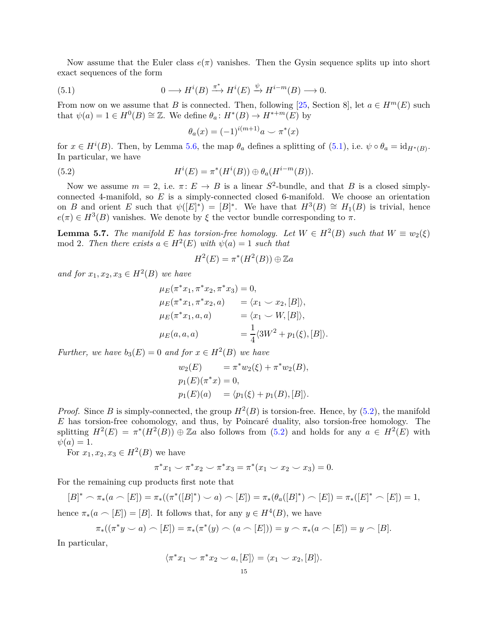Now assume that the Euler class  $e(\pi)$  vanishes. Then the Gysin sequence splits up into short exact sequences of the form

(5.1) 
$$
0 \longrightarrow H^{i}(B) \xrightarrow{\pi^{*}} H^{i}(E) \xrightarrow{\psi} H^{i-m}(B) \longrightarrow 0.
$$

From now on we assume that *B* is connected. Then, following [\[25,](#page-17-20) Section 8], let  $a \in H^m(E)$  such that  $\psi(a) = 1 \in H^0(B) \cong \mathbb{Z}$ . We define  $\theta_a: H^*(B) \to H^{*+m}(E)$  by

<span id="page-14-1"></span><span id="page-14-0"></span>
$$
\theta_a(x) = (-1)^{i(m+1)}a \smile \pi^*(x)
$$

for  $x \in H^{i}(B)$ . Then, by Lemma [5.6,](#page-13-4) the map  $\theta_{a}$  defines a splitting of [\(5.1\)](#page-14-0), i.e.  $\psi \circ \theta_{a} = id_{H^{*}(B)}$ . In particular, we have

(5.2) 
$$
H^{i}(E) = \pi^{*}(H^{i}(B)) \oplus \theta_{a}(H^{i-m}(B)).
$$

Now we assume  $m = 2$ , i.e.  $\pi: E \to B$  is a linear  $S^2$ -bundle, and that B is a closed simplyconnected 4-manifold, so *E* is a simply-connected closed 6-manifold. We choose an orientation on *B* and orient *E* such that  $\psi([E]^*) = [B]^*$ . We have that  $H^3(B) \cong H_1(B)$  is trivial, hence  $e(\pi) \in H^3(B)$  vanishes. We denote by  $\xi$  the vector bundle corresponding to  $\pi$ .

<span id="page-14-2"></span>**Lemma 5.7.** *The manifold E has torsion-free homology. Let*  $W \in H^2(B)$  *such that*  $W \equiv w_2(\xi)$  $\text{mod } 2$ . Then there exists  $a \in H^2(E)$  with  $\psi(a) = 1$  such that

$$
H^2(E) = \pi^*(H^2(B)) \oplus \mathbb{Z}a
$$

 $and$  *for*  $x_1, x_2, x_3 \in H^2(B)$  *we have* 

$$
\mu_E(\pi^*x_1, \pi^*x_2, \pi^*x_3) = 0,\n\mu_E(\pi^*x_1, \pi^*x_2, a) = \langle x_1 \smile x_2, [B] \rangle,\n\mu_E(\pi^*x_1, a, a) = \langle x_1 \smile W, [B] \rangle,\n\mu_E(a, a, a) = \frac{1}{4} \langle 3W^2 + p_1(\xi), [B] \rangle.
$$

*Further, we have*  $b_3(E) = 0$  *and for*  $x \in H^2(B)$  *we have* 

$$
w_2(E) = \pi^* w_2(\xi) + \pi^* w_2(B),
$$
  
\n
$$
p_1(E)(\pi^* x) = 0,
$$
  
\n
$$
p_1(E)(a) = \langle p_1(\xi) + p_1(B), [B] \rangle.
$$

*Proof.* Since *B* is simply-connected, the group  $H^2(B)$  is torsion-free. Hence, by [\(5.2\)](#page-14-1), the manifold *E* has torsion-free cohomology, and thus, by Poincaré duality, also torsion-free homology. The splitting  $H^2(E) = \pi^*(H^2(B)) \oplus \mathbb{Z}a$  also follows from [\(5.2\)](#page-14-1) and holds for any  $a \in H^2(E)$  with  $\psi(a) = 1.$ 

For  $x_1, x_2, x_3 \in H^2(B)$  we have

$$
\pi^* x_1 \smile \pi^* x_2 \smile \pi^* x_3 = \pi^* (x_1 \smile x_2 \smile x_3) = 0.
$$

For the remaining cup products first note that

$$
[B]^* \frown \pi_*(a \frown [E]) = \pi_*((\pi^*([B]^*) \frown a) \frown [E]) = \pi_*((\theta_a([B]^*) \frown [E]) = \pi_*([E]^* \frown [E]) = 1,
$$

hence  $\pi_*(a \frown [E]) = [B]$ . It follows that, for any  $y \in H^4(B)$ , we have

$$
\pi_*((\pi^*y \smile a) \frown [E]) = \pi_*(\pi^*(y) \frown (a \frown [E])) = y \frown \pi_*(a \frown [E]) = y \frown [B].
$$

In particular,

$$
\langle \pi^* x_1 \smile \pi^* x_2 \smile a, [E] \rangle = \langle x_1 \smile x_2, [B] \rangle.
$$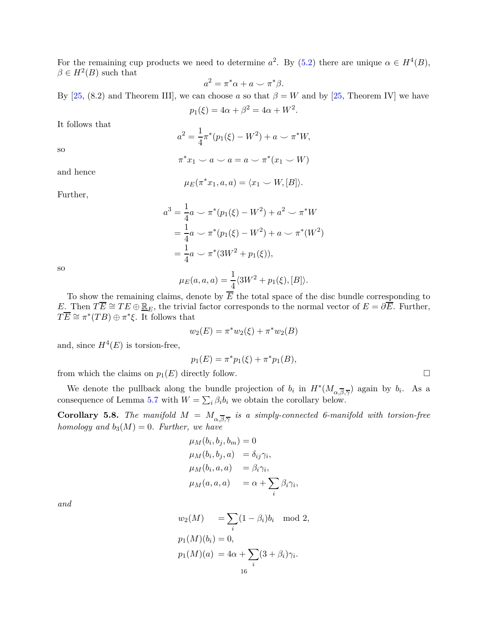For the remaining cup products we need to determine  $a^2$ . By [\(5.2\)](#page-14-1) there are unique  $\alpha \in H^4(B)$ ,  $\beta \in H^2(B)$  such that

$$
a^2 = \pi^* \alpha + a \smile \pi^* \beta.
$$

By [\[25,](#page-17-20) (8.2) and Theorem III], we can choose *a* so that  $\beta = W$  and by [25, Theorem IV] we have

$$
p_1(\xi) = 4\alpha + \beta^2 = 4\alpha + W^2.
$$

It follows that

$$
a^{2} = \frac{1}{4}\pi^{*}(p_{1}(\xi) - W^{2}) + a \smile \pi^{*}W,
$$
  

$$
\pi^{*}x_{1} \smile a \smile a = a \smile \pi^{*}(x_{1} \smile W)
$$

and hence

so

$$
\mu_E(\pi^*x_1, a, a) = \langle x_1 \smile W, [B] \rangle.
$$

Further,

$$
a^{3} = \frac{1}{4}a \smile \pi^{*}(p_{1}(\xi) - W^{2}) + a^{2} \smile \pi^{*}W
$$
  
=  $\frac{1}{4}a \smile \pi^{*}(p_{1}(\xi) - W^{2}) + a \smile \pi^{*}(W^{2})$   
=  $\frac{1}{4}a \smile \pi^{*}(3W^{2} + p_{1}(\xi)),$ 

so

$$
\mu_E(a, a, a) = \frac{1}{4} \langle 3W^2 + p_1(\xi), [B] \rangle.
$$

To show the remaining claims, denote by *E* the total space of the disc bundle corresponding to *E*. Then  $T\overline{E} \cong TE \oplus \underline{\mathbb{R}}_E$ , the trivial factor corresponds to the normal vector of  $E = \partial \overline{E}$ . Further,  $T\overline{E} \cong \pi^*(TB) \oplus \pi^*\xi$ . It follows that

$$
w_2(E) = \pi^* w_2(\xi) + \pi^* w_2(B)
$$

and, since  $H^4(E)$  is torsion-free,

$$
p_1(E) = \pi^* p_1(\xi) + \pi^* p_1(B),
$$

from which the claims on  $p_1(E)$  directly follow.

We denote the pullback along the bundle projection of  $b_i$  in  $H^*(M_{\alpha,\overline{\beta},\overline{\gamma}})$  again by  $b_i$ . As a consequence of Lemma [5.7](#page-14-2) with  $W = \sum_i \beta_i b_i$  we obtain the corollary below.

<span id="page-15-0"></span>**Corollary 5.8.** *The manifold*  $M = M_{\alpha, \overline{\beta}, \overline{\gamma}}$  *is a simply-connected 6-manifold with torsion-free homology and*  $b_3(M) = 0$ *. Further, we have* 

$$
\mu_M(b_i, b_j, b_m) = 0
$$
  
\n
$$
\mu_M(b_i, b_j, a) = \delta_{ij} \gamma_i,
$$
  
\n
$$
\mu_M(b_i, a, a) = \beta_i \gamma_i,
$$
  
\n
$$
\mu_M(a, a, a) = \alpha + \sum_i \beta_i \gamma_i,
$$

*and*

$$
w_2(M) = \sum_i (1 - \beta_i) b_i \mod 2,
$$
  
\n
$$
p_1(M)(b_i) = 0,
$$
  
\n
$$
p_1(M)(a) = 4\alpha + \sum_i (3 + \beta_i) \gamma_i.
$$
  
\n
$$
16
$$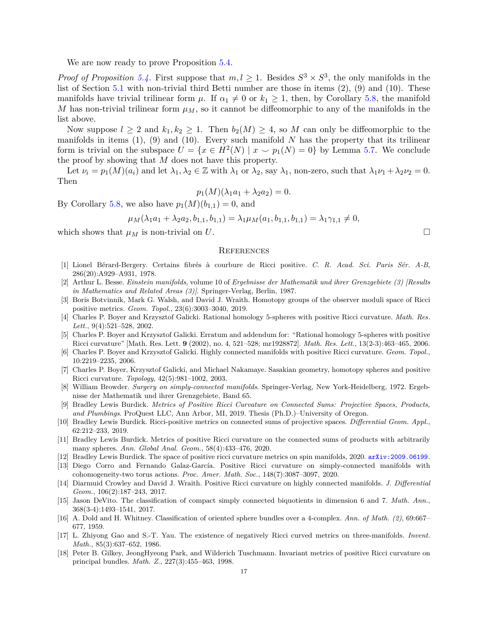We are now ready to prove Proposition  $5.4$ .

*Proof of Proposition* [5.4.](#page-13-1) First suppose that  $m, l \geq 1$ . Besides  $S^3 \times S^3$ , the only manifolds in the list of Section [5.1](#page-12-0) with non-trivial third Betti number are those in items (2), (9) and (10). These manifolds have trivial trilinear form  $\mu$ . If  $\alpha_1 \neq 0$  or  $k_1 \geq 1$ , then, by Corollary [5.8,](#page-15-0) the manifold *M* has non-trivial trilinear form  $\mu$ *M*, so it cannot be diffeomorphic to any of the manifolds in the list above.

Now suppose  $l \geq 2$  and  $k_1, k_2 \geq 1$ . Then  $b_2(M) \geq 4$ , so M can only be diffeomorphic to the manifolds in items  $(1)$ ,  $(9)$  and  $(10)$ . Every such manifold *N* has the property that its trilinear form is trivial on the subspace  $U = \{x \in H^2(N) \mid x \smile p_1(N) = 0\}$  by Lemma [5.7.](#page-14-2) We conclude the proof by showing that *M* does not have this property.

Let  $\nu_i = p_1(M)(a_i)$  and let  $\lambda_1, \lambda_2 \in \mathbb{Z}$  with  $\lambda_1$  or  $\lambda_2$ , say  $\lambda_1$ , non-zero, such that  $\lambda_1\nu_1 + \lambda_2\nu_2 = 0$ . Then

$$
p_1(M)(\lambda_1 a_1 + \lambda_2 a_2) = 0.
$$

By Corollary [5.8,](#page-15-0) we also have  $p_1(M)(b_{1,1}) = 0$ , and

$$
\mu_M(\lambda_1 a_1 + \lambda_2 a_2, b_{1,1}, b_{1,1}) = \lambda_1 \mu_M(a_1, b_{1,1}, b_{1,1}) = \lambda_1 \gamma_{1,1} \neq 0,
$$

which shows that  $\mu_M$  is non-trivial on *U*.

#### **REFERENCES**

- <span id="page-16-0"></span>[1] Lionel Bérard-Bergery. Certains fibrés à courbure de Ricci positive. *C. R. Acad. Sci. Paris Sér. A-B*, 286(20):A929–A931, 1978.
- <span id="page-16-12"></span>[2] Arthur L. Besse. *Einstein manifolds*, volume 10 of *Ergebnisse der Mathematik und ihrer Grenzgebiete (3) [Results in Mathematics and Related Areas (3)]*. Springer-Verlag, Berlin, 1987.
- <span id="page-16-13"></span>[3] Boris Botvinnik, Mark G. Walsh, and David J. Wraith. Homotopy groups of the observer moduli space of Ricci positive metrics. *Geom. Topol.*, 23(6):3003–3040, 2019.
- <span id="page-16-2"></span>[4] Charles P. Boyer and Krzysztof Galicki. Rational homology 5-spheres with positive Ricci curvature. *Math. Res. Lett.*, 9(4):521–528, 2002.
- <span id="page-16-3"></span>[5] Charles P. Boyer and Krzysztof Galicki. Erratum and addendum for: "Rational homology 5-spheres with positive Ricci curvature" [Math. Res. Lett. **9** (2002), no. 4, 521–528; mr1928872]. *Math. Res. Lett.*, 13(2-3):463–465, 2006.
- <span id="page-16-4"></span>[6] Charles P. Boyer and Krzysztof Galicki. Highly connected manifolds with positive Ricci curvature. *Geom. Topol.*, 10:2219–2235, 2006.
- <span id="page-16-5"></span>[7] Charles P. Boyer, Krzysztof Galicki, and Michael Nakamaye. Sasakian geometry, homotopy spheres and positive Ricci curvature. *Topology*, 42(5):981–1002, 2003.
- <span id="page-16-11"></span>[8] William Browder. *Surgery on simply-connected manifolds*. Springer-Verlag, New York-Heidelberg, 1972. Ergebnisse der Mathematik und ihrer Grenzgebiete, Band 65.
- <span id="page-16-8"></span>[9] Bradley Lewis Burdick. *Metrics of Positive Ricci Curvature on Connected Sums: Projective Spaces, Products, and Plumbings*. ProQuest LLC, Ann Arbor, MI, 2019. Thesis (Ph.D.)–University of Oregon.
- <span id="page-16-7"></span>[10] Bradley Lewis Burdick. Ricci-positive metrics on connected sums of projective spaces. *Differential Geom. Appl.*, 62:212–233, 2019.
- <span id="page-16-9"></span>[11] Bradley Lewis Burdick. Metrics of positive Ricci curvature on the connected sums of products with arbitrarily many spheres. *Ann. Global Anal. Geom.*, 58(4):433–476, 2020.
- <span id="page-16-16"></span><span id="page-16-10"></span>[12] Bradley Lewis Burdick. The space of positive ricci curvature metrics on spin manifolds, 2020. [arXiv:2009.06199](http://arxiv.org/abs/2009.06199).
- [13] Diego Corro and Fernando Galaz-García. Positive Ricci curvature on simply-connected manifolds with cohomogeneity-two torus actions. *Proc. Amer. Math. Soc.*, 148(7):3087–3097, 2020.
- <span id="page-16-6"></span>[14] Diarmuid Crowley and David J. Wraith. Positive Ricci curvature on highly connected manifolds. *J. Differential Geom.*, 106(2):187–243, 2017.
- <span id="page-16-15"></span>[15] Jason DeVito. The classification of compact simply connected biquotients in dimension 6 and 7. *Math. Ann.*, 368(3-4):1493–1541, 2017.
- <span id="page-16-17"></span>[16] A. Dold and H. Whitney. Classification of oriented sphere bundles over a 4-complex. *Ann. of Math. (2)*, 69:667– 677, 1959.
- <span id="page-16-14"></span>[17] L. Zhiyong Gao and S.-T. Yau. The existence of negatively Ricci curved metrics on three-manifolds. *Invent. Math.*, 85(3):637–652, 1986.
- <span id="page-16-1"></span>[18] Peter B. Gilkey, JeongHyeong Park, and Wilderich Tuschmann. Invariant metrics of positive Ricci curvature on principal bundles. *Math. Z.*, 227(3):455–463, 1998.